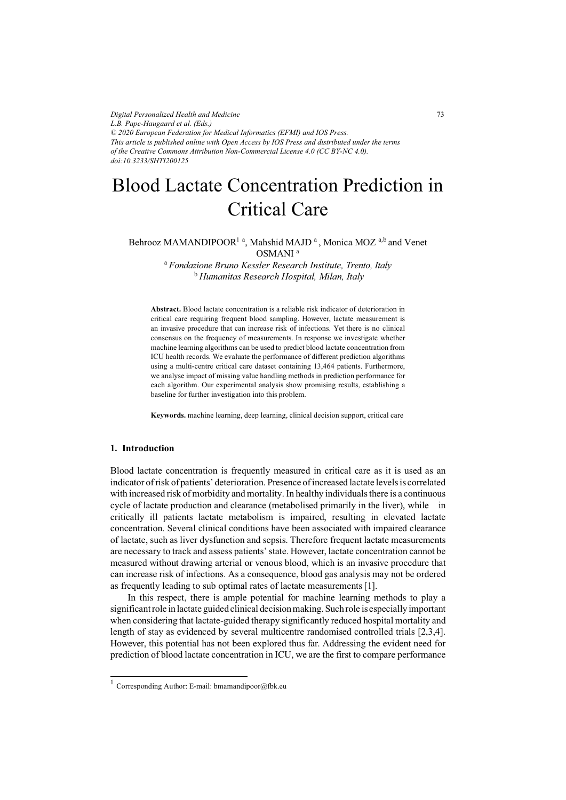*Digital Personalized Health and Medicine L.B. Pape-Haugaard et al. (Eds.) © 2020 European Federation for Medical Informatics (EFMI) and IOS Press. This article is published online with Open Access by IOS Press and distributed under the terms of the Creative Commons Attribution Non-Commercial License 4.0 (CC BY-NC 4.0). doi:10.3233/SHTI200125*

# Blood Lactate Concentration Prediction in Critical Care

Behrooz MAMANDIPOOR<sup>1</sup><sup>a</sup>, Mahshid MAJD<sup>a</sup>, Monica MOZ<sup>a,b</sup> and Venet OSMANI <sup>a</sup>

> <sup>a</sup>*Fondazione Bruno Kessler Research Institute, Trento, Italy*  <sup>b</sup>*Humanitas Research Hospital, Milan, Italy*

**Abstract.** Blood lactate concentration is a reliable risk indicator of deterioration in critical care requiring frequent blood sampling. However, lactate measurement is an invasive procedure that can increase risk of infections. Yet there is no clinical consensus on the frequency of measurements. In response we investigate whether machine learning algorithms can be used to predict blood lactate concentration from ICU health records. We evaluate the performance of different prediction algorithms using a multi-centre critical care dataset containing 13,464 patients. Furthermore, we analyse impact of missing value handling methods in prediction performance for each algorithm. Our experimental analysis show promising results, establishing a baseline for further investigation into this problem.

**Keywords.** machine learning, deep learning, clinical decision support, critical care

## **1. Introduction**

 $\overline{1}$ 

Blood lactate concentration is frequently measured in critical care as it is used as an indicator of risk of patients' deterioration. Presence of increased lactate levels is correlated with increased risk of morbidity and mortality. In healthy individuals there is a continuous cycle of lactate production and clearance (metabolised primarily in the liver), while in critically ill patients lactate metabolism is impaired, resulting in elevated lactate concentration. Several clinical conditions have been associated with impaired clearance of lactate, such as liver dysfunction and sepsis. Therefore frequent lactate measurements are necessary to track and assess patients' state. However, lactate concentration cannot be measured without drawing arterial or venous blood, which is an invasive procedure that can increase risk of infections. As a consequence, blood gas analysis may not be ordered as frequently leading to sub optimal rates of lactate measurements [1].

In this respect, there is ample potential for machine learning methods to play a significant role in lactate guided clinical decision making. Such role is especially important when considering that lactate-guided therapy significantly reduced hospital mortality and length of stay as evidenced by several multicentre randomised controlled trials [2,3,4]. However, this potential has not been explored thus far. Addressing the evident need for prediction of blood lactate concentration in ICU, we are the first to compare performance

73

Corresponding Author: E-mail: bmamandipoor@fbk.eu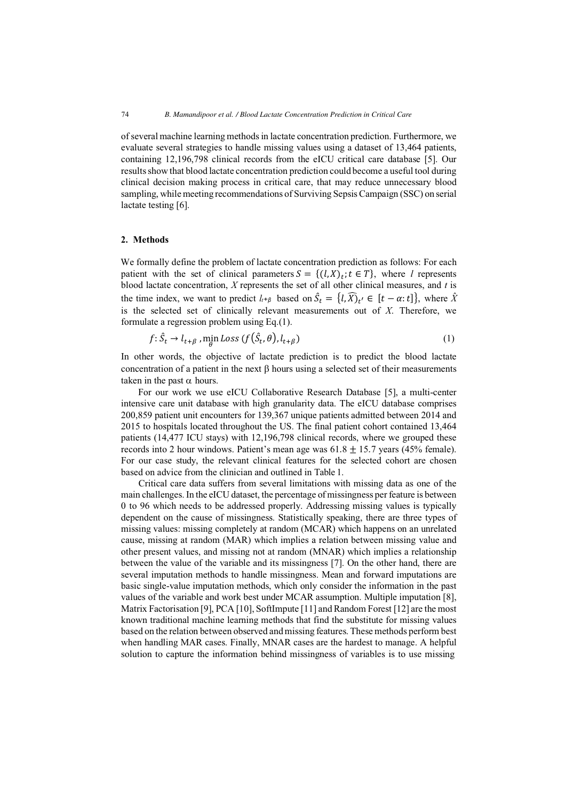of several machine learning methods in lactate concentration prediction. Furthermore, we evaluate several strategies to handle missing values using a dataset of 13,464 patients, containing 12,196,798 clinical records from the eICU critical care database [5]. Our results show that blood lactate concentration prediction could become a useful tool during clinical decision making process in critical care, that may reduce unnecessary blood sampling, while meeting recommendations of Surviving Sepsis Campaign (SSC) on serial lactate testing [6].

#### **2. Methods**

We formally define the problem of lactate concentration prediction as follows: For each patient with the set of clinical parameters  $S = \{(l, X)_t; t \in T\}$ , where *l* represents blood lactate concentration, *X* represents the set of all other clinical measures, and *t* is the time index, we want to predict  $l_{t+\beta}$  based on  $\hat{S}_t = \{l, \widehat{X}\}_t \in [t - \alpha; t]\}$ , where  $\hat{X}$ is the selected set of clinically relevant measurements out of *X*. Therefore, we formulate a regression problem using Eq.(1).

$$
f: \hat{S}_t \to l_{t+\beta} \text{, min } Loss(f(\hat{S}_t, \theta), l_{t+\beta})
$$
\n<sup>(1)</sup>

In other words, the objective of lactate prediction is to predict the blood lactate concentration of a patient in the next β hours using a selected set of their measurements taken in the past  $\alpha$  hours.

For our work we use eICU Collaborative Research Database [5], a multi-center intensive care unit database with high granularity data. The eICU database comprises 200,859 patient unit encounters for 139,367 unique patients admitted between 2014 and 2015 to hospitals located throughout the US. The final patient cohort contained 13,464 patients (14,477 ICU stays) with 12,196,798 clinical records, where we grouped these records into 2 hour windows. Patient's mean age was  $61.8 \pm 15.7$  years (45% female). For our case study, the relevant clinical features for the selected cohort are chosen based on advice from the clinician and outlined in Table 1.

Critical care data suffers from several limitations with missing data as one of the main challenges. In the eICU dataset, the percentage of missingness per feature is between 0 to 96 which needs to be addressed properly. Addressing missing values is typically dependent on the cause of missingness. Statistically speaking, there are three types of missing values: missing completely at random (MCAR) which happens on an unrelated cause, missing at random (MAR) which implies a relation between missing value and other present values, and missing not at random (MNAR) which implies a relationship between the value of the variable and its missingness [7]. On the other hand, there are several imputation methods to handle missingness. Mean and forward imputations are basic single-value imputation methods, which only consider the information in the past values of the variable and work best under MCAR assumption. Multiple imputation [8], Matrix Factorisation [9], PCA [10], SoftImpute [11] and Random Forest [12] are the most known traditional machine learning methods that find the substitute for missing values based on the relation between observed and missing features. These methods perform best when handling MAR cases. Finally, MNAR cases are the hardest to manage. A helpful solution to capture the information behind missingness of variables is to use missing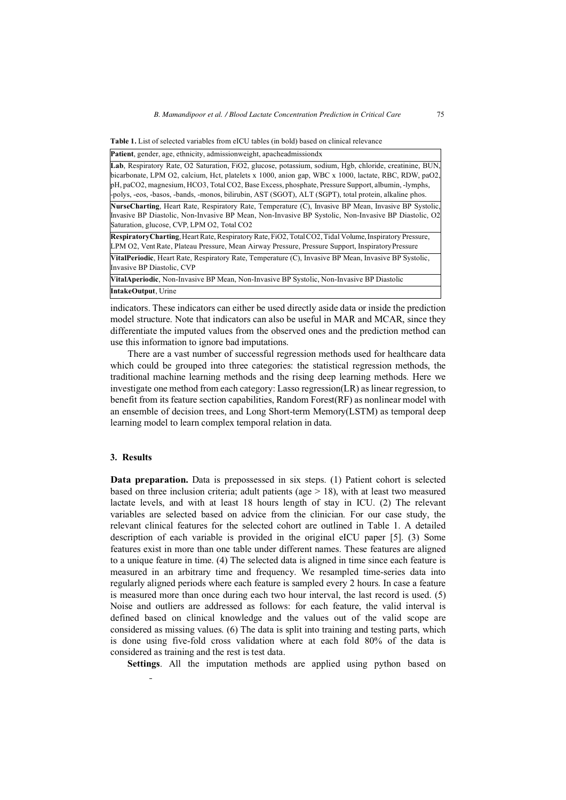**Table 1.** List of selected variables from eICU tables (in bold) based on clinical relevance

**Patient**, gender, age, ethnicity, admissionweight, apacheadmissiondx

| Lab, Respiratory Rate, O2 Saturation, FiO2, glucose, potassium, sodium, Hgb, chloride, creatinine, BUN,                                                                                                       |
|---------------------------------------------------------------------------------------------------------------------------------------------------------------------------------------------------------------|
| bicarbonate, LPM O2, calcium, Hct, platelets x 1000, anion gap, WBC x 1000, lactate, RBC, RDW, paO2,                                                                                                          |
| pH, paCO2, magnesium, HCO3, Total CO2, Base Excess, phosphate, Pressure Support, albumin, -lymphs,<br>polys, -eos, -basos, -bands, -monos, bilirubin, AST (SGOT), ALT (SGPT), total protein, alkaline phos.   |
| <b>NurseCharting, Heart Rate, Respiratory Rate, Temperature (C), Invasive BP Mean, Invasive BP Systolic,</b>                                                                                                  |
| Invasive BP Diastolic, Non-Invasive BP Mean, Non-Invasive BP Systolic, Non-Invasive BP Diastolic, O2                                                                                                          |
| Saturation, glucose, CVP, LPM O2, Total CO2                                                                                                                                                                   |
| Respiratory Charting, Heart Rate, Respiratory Rate, FiO2, Total CO2, Tidal Volume, Inspiratory Pressure,<br>LPM O2, Vent Rate, Plateau Pressure, Mean Airway Pressure, Pressure Support, Inspiratory Pressure |
| VitalPeriodic, Heart Rate, Respiratory Rate, Temperature (C), Invasive BP Mean, Invasive BP Systolic,                                                                                                         |
| Invasive BP Diastolic, CVP                                                                                                                                                                                    |
| VitalAperiodic, Non-Invasive BP Mean, Non-Invasive BP Systolic, Non-Invasive BP Diastolic                                                                                                                     |
| <b>IntakeOutput.</b> Urine                                                                                                                                                                                    |

indicators. These indicators can either be used directly aside data or inside the prediction model structure. Note that indicators can also be useful in MAR and MCAR, since they differentiate the imputed values from the observed ones and the prediction method can use this information to ignore bad imputations.

There are a vast number of successful regression methods used for healthcare data which could be grouped into three categories: the statistical regression methods, the traditional machine learning methods and the rising deep learning methods. Here we investigate one method from each category: Lasso regression(LR) as linear regression, to benefit from its feature section capabilities, Random Forest(RF) as nonlinear model with an ensemble of decision trees, and Long Short-term Memory(LSTM) as temporal deep learning model to learn complex temporal relation in data.

### **3. Results**

**Data preparation.** Data is prepossessed in six steps. (1) Patient cohort is selected based on three inclusion criteria; adult patients (age  $> 18$ ), with at least two measured lactate levels, and with at least 18 hours length of stay in ICU. (2) The relevant variables are selected based on advice from the clinician. For our case study, the relevant clinical features for the selected cohort are outlined in Table 1. A detailed description of each variable is provided in the original eICU paper [5]. (3) Some features exist in more than one table under different names. These features are aligned to a unique feature in time. (4) The selected data is aligned in time since each feature is measured in an arbitrary time and frequency. We resampled time-series data into regularly aligned periods where each feature is sampled every 2 hours. In case a feature is measured more than once during each two hour interval, the last record is used. (5) Noise and outliers are addressed as follows: for each feature, the valid interval is defined based on clinical knowledge and the values out of the valid scope are considered as missing values. (6) The data is split into training and testing parts, which is done using five-fold cross validation where at each fold 80% of the data is considered as training and the rest is test data.

**Settings**. All the imputation methods are applied using python based on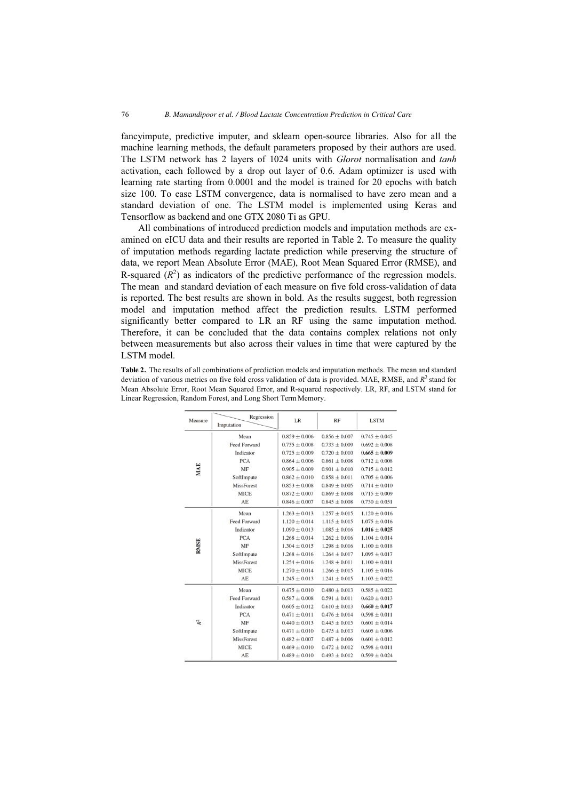fancyimpute, predictive imputer, and sklearn open-source libraries. Also for all the machine learning methods, the default parameters proposed by their authors are used. The LSTM network has 2 layers of 1024 units with *Glorot* normalisation and *tanh*  activation, each followed by a drop out layer of 0.6. Adam optimizer is used with learning rate starting from 0.0001 and the model is trained for 20 epochs with batch size 100. To ease LSTM convergence, data is normalised to have zero mean and a standard deviation of one. The LSTM model is implemented using Keras and Tensorflow as backend and one GTX 2080 Ti as GPU.

All combinations of introduced prediction models and imputation methods are examined on eICU data and their results are reported in Table 2. To measure the quality of imputation methods regarding lactate prediction while preserving the structure of data, we report Mean Absolute Error (MAE), Root Mean Squared Error (RMSE), and R-squared  $(R^2)$  as indicators of the predictive performance of the regression models. The mean and standard deviation of each measure on five fold cross-validation of data is reported. The best results are shown in bold. As the results suggest, both regression model and imputation method affect the prediction results. LSTM performed significantly better compared to LR an RF using the same imputation method. Therefore, it can be concluded that the data contains complex relations not only between measurements but also across their values in time that were captured by the LSTM model.

**Table 2.** The results of all combinations of prediction models and imputation methods. The mean and standard deviation of various metrics on five fold cross validation of data is provided. MAE, RMSE, and  $R^2$  stand for Mean Absolute Error, Root Mean Squared Error, and R-squared respectively. LR, RF, and LSTM stand for Linear Regression, Random Forest, and Long Short Term Memory.

| Measure     | Regression          | LR                | RF                | <b>LSTM</b>       |
|-------------|---------------------|-------------------|-------------------|-------------------|
|             | Imputation          |                   |                   |                   |
| MAE         | Mean                | $0.859 \pm 0.006$ | $0.856 \pm 0.007$ | $0.745 \pm 0.045$ |
|             | <b>Feed Forward</b> | $0.735 \pm 0.008$ | $0.733 \pm 0.009$ | $0.692 \pm 0.008$ |
|             | Indicator           | $0.725 \pm 0.009$ | $0.720 \pm 0.010$ | $0.665 \pm 0.009$ |
|             | <b>PCA</b>          | $0.864 \pm 0.006$ | $0.861 \pm 0.008$ | $0.712 \pm 0.008$ |
|             | <b>MF</b>           | $0.905 \pm 0.009$ | $0.901 \pm 0.010$ | $0.715 \pm 0.012$ |
|             | SoftImpute          | $0.862 \pm 0.010$ | $0.858 \pm 0.011$ | $0.705 \pm 0.006$ |
|             | <b>MissForest</b>   | $0.853 \pm 0.008$ | $0.849 \pm 0.005$ | $0.714 \pm 0.010$ |
|             | <b>MICE</b>         | $0.872 \pm 0.007$ | $0.869 \pm 0.008$ | $0.715 \pm 0.009$ |
|             | AE                  | $0.846 \pm 0.007$ | $0.845 \pm 0.008$ | $0.730 \pm 0.051$ |
| <b>RMSE</b> | Mean                | $1.263 \pm 0.013$ | $1.257 \pm 0.015$ | $1.120 \pm 0.016$ |
|             | <b>Feed Forward</b> | $1.120 \pm 0.014$ | $1.115 \pm 0.015$ | $1.075 \pm 0.016$ |
|             | Indicator           | $1.090 \pm 0.013$ | $1.085 \pm 0.016$ | $1.016 \pm 0.025$ |
|             | <b>PCA</b>          | $1.268 \pm 0.014$ | $1.262 \pm 0.016$ | $1.104 \pm 0.014$ |
|             | <b>MF</b>           | $1.304 \pm 0.015$ | $1.298 \pm 0.016$ | $1.100 \pm 0.018$ |
|             | SoftImpute          | $1.268 \pm 0.016$ | $1.264 \pm 0.017$ | $1.095 \pm 0.017$ |
|             | <b>MissForest</b>   | $1.254 \pm 0.016$ | $1.248 \pm 0.011$ | $1.100 \pm 0.011$ |
|             | <b>MICE</b>         | $1.270 \pm 0.014$ | $1.266 \pm 0.015$ | $1.105 \pm 0.016$ |
|             | AE                  | $1.245 \pm 0.013$ | $1.241 \pm 0.015$ | $1.103 \pm 0.022$ |
| k,          | Mean                | $0.475 \pm 0.010$ | $0.480 \pm 0.013$ | $0.585 \pm 0.022$ |
|             | <b>Feed Forward</b> | $0.587 \pm 0.008$ | $0.591 \pm 0.011$ | $0.620 \pm 0.013$ |
|             | Indicator           | $0.605 \pm 0.012$ | $0.610 \pm 0.013$ | $0.660 \pm 0.017$ |
|             | <b>PCA</b>          | $0.471 \pm 0.011$ | $0.476 \pm 0.014$ | $0.598 \pm 0.011$ |
|             | MF                  | $0.440 \pm 0.013$ | $0.445 \pm 0.015$ | $0.601 \pm 0.014$ |
|             | SoftImpute          | $0.471 \pm 0.010$ | $0.475 \pm 0.013$ | $0.605 \pm 0.006$ |
|             | <b>MissForest</b>   | $0.482 \pm 0.007$ | $0.487 \pm 0.006$ | $0.601 \pm 0.012$ |
|             | <b>MICE</b>         | $0.469 \pm 0.010$ | $0.472 \pm 0.012$ | $0.598 \pm 0.011$ |
|             | AE                  | $0.489 \pm 0.010$ | $0.493 \pm 0.012$ | $0.599 \pm 0.024$ |